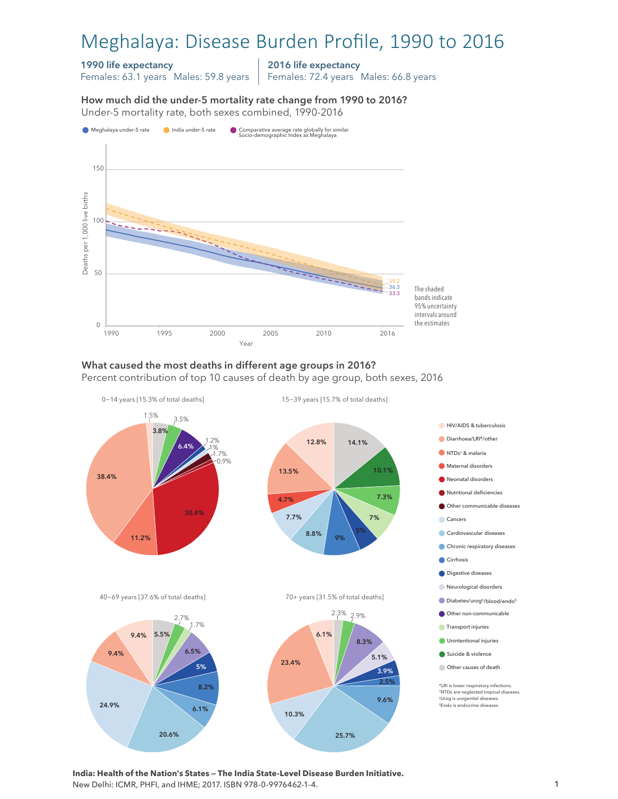# Meghalaya: Disease Burden Profile, 1990 to 2016

#### 1990 life expectancy

Females: 63.1 years Males: 59.8 years

2016 life expectancy

Females: 72.4 years Males: 66.8 years

How much did the under-5 mortality rate change from 1990 to 2016? Under-5 mortality rate, both sexes combined, 1990-2016 Under-5 mortality rate, both sexes combined, 1990-2016 How much did the under-5 mortality rate change from 1990 to 2016?



### What caused the most deaths in different age groups in 2016?

Percent contribution of top 10 causes of death by age group, both sexes, 2016



**India: Health of the Nation's States — The India State-Level Disease Burden Initiative.**  New Delhi: ICMR, PHFI, and IHME; 2017. ISBN 978-0-9976462-1-4.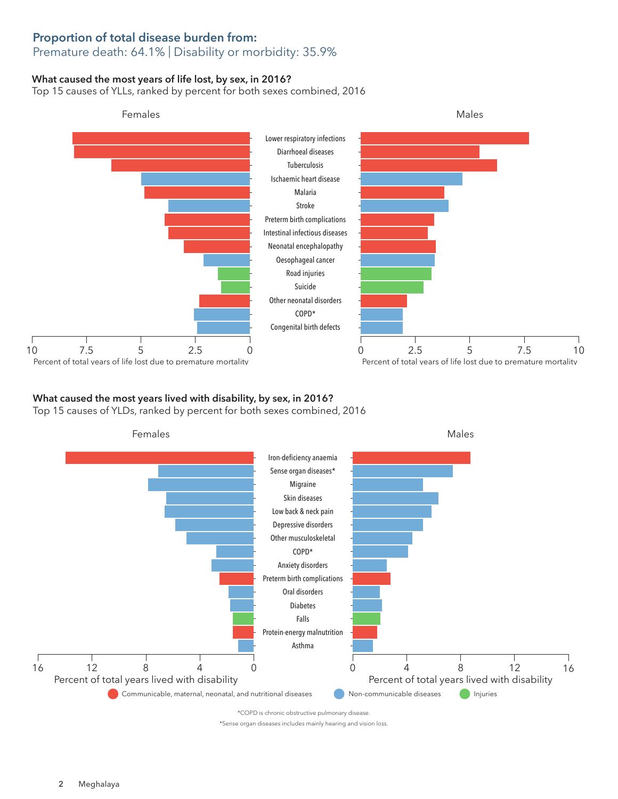### Proportion of total disease burden from: Premature death: 64.1% | Disability or morbidity: 35.9%

### What caused the most years of life lost, by sex, in 2016?

Top 15 causes of YLLs, ranked by percent for both sexes combined, 2016



## What caused the most years lived with disability, by sex, in 2016?

Top 15 causes of YLDs, ranked by percent for both sexes combined, 2016



\*COPD is chronic obstructive pulmonary disease.

\*Sense organ diseases includes mainly hearing and vision loss.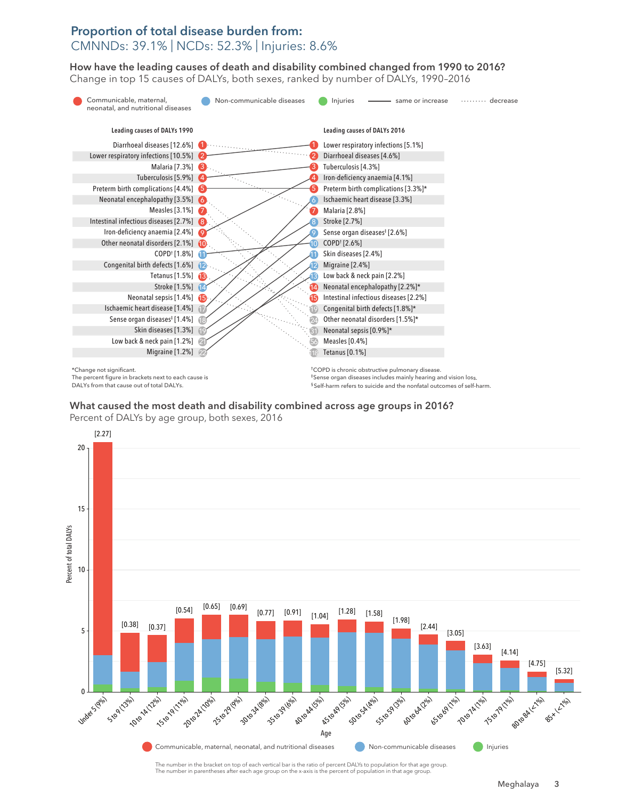## Proportion of total disease burden from: CMNNDs: 39.1% | NCDs: 52.3% | Injuries: 8.6%

How have the leading causes of death and disability combined changed from 1990 to 2016? How have the leading causes of death and disability combined changed from 1990 to 2016? Change in top 15 causes of DALYs, both sexes, ranked by number of DALYs, 1990–2016 Change top 15 causes of DALYs, both sexes, ranked by number of DALYs, 1990–2016



The percent figure in brackets next to each cause is DALYs from that cause out of total DALYs.

‡Sense organ diseases includes mainly hearing and vision loss. § Self-harm refers to suicide and the nonfatal outcomes of self-harm.

What caused the most death and disability combined across age groups in 2016? What caused the most death and disability combined across age groups in 2016? Percent of DALYs by age group, both sexes, 2016 Percent of DALYs by age group, both sexes, 2016



The number in parentheses after each age group on the x-axis is the percent of population in that age group